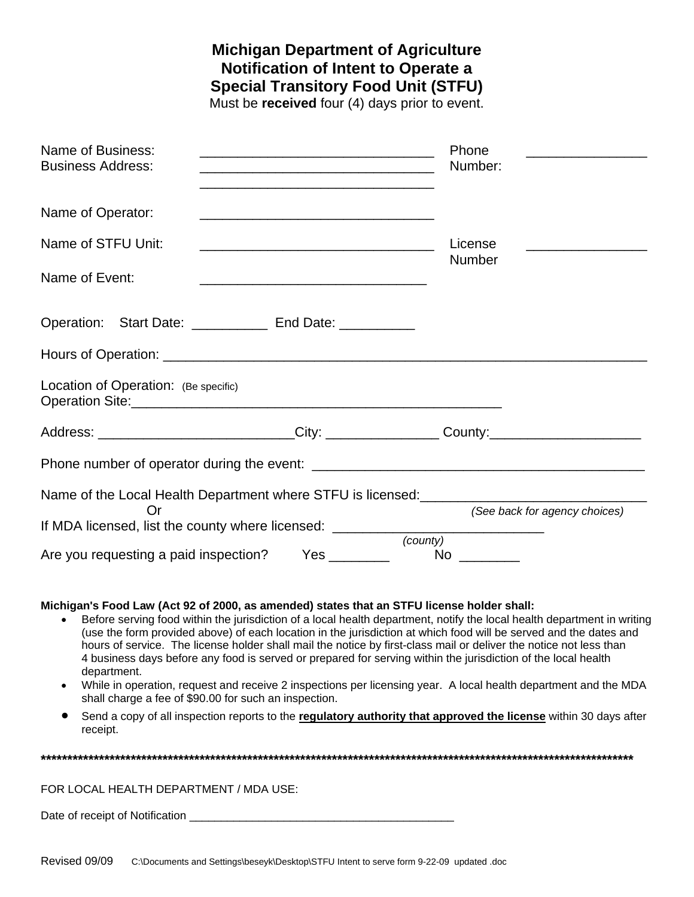## **Michigan Department of Agriculture Notification of Intent to Operate a Special Transitory Food Unit (STFU)**

Must be **received** four (4) days prior to event.

| Name of Business:<br><b>Business Address:</b>                                                       |                                                                                                                      |  |                 | Phone<br>Number:                    |                                         |  |
|-----------------------------------------------------------------------------------------------------|----------------------------------------------------------------------------------------------------------------------|--|-----------------|-------------------------------------|-----------------------------------------|--|
| Name of Operator:<br><u> 1989 - Andrea Stadt Britain, amerikansk politik (* 1908)</u>               |                                                                                                                      |  |                 |                                     |                                         |  |
| Name of STFU Unit:                                                                                  | <u> 2002 - Jan James James James James James James James James James James James James James James James James J</u> |  |                 | License<br><b>Number</b>            | <u> — — — — — — — — — — — — — — — —</u> |  |
| Name of Event:                                                                                      |                                                                                                                      |  |                 |                                     |                                         |  |
| Operation: Start Date: _____________ End Date: ___________                                          |                                                                                                                      |  |                 |                                     |                                         |  |
|                                                                                                     |                                                                                                                      |  |                 |                                     |                                         |  |
| Location of Operation: (Be specific)                                                                |                                                                                                                      |  |                 |                                     |                                         |  |
| Address: _____________________________City: ___________________County:_____________________________ |                                                                                                                      |  |                 |                                     |                                         |  |
|                                                                                                     |                                                                                                                      |  |                 |                                     |                                         |  |
| Name of the Local Health Department where STFU is licensed: ____________________                    |                                                                                                                      |  |                 |                                     |                                         |  |
| Or<br>If MDA licensed, list the county where licensed: ________                                     |                                                                                                                      |  |                 | <u> 1980 - Jan Barbarat, manala</u> | (See back for agency choices)           |  |
| Are you requesting a paid inspection?                                                               |                                                                                                                      |  | (county)<br>No. |                                     |                                         |  |

## **Michigan's Food Law (Act 92 of 2000, as amended) states that an STFU license holder shall:**

- Before serving food within the jurisdiction of a local health department, notify the local health department in writing (use the form provided above) of each location in the jurisdiction at which food will be served and the dates and hours of service. The license holder shall mail the notice by first-class mail or deliver the notice not less than 4 business days before any food is served or prepared for serving within the jurisdiction of the local health department.
- While in operation, request and receive 2 inspections per licensing year. A local health department and the MDA shall charge a fee of \$90.00 for such an inspection.
- Send a copy of all inspection reports to the **regulatory authority that approved the license** within 30 days after receipt.

**\*\*\*\*\*\*\*\*\*\*\*\*\*\*\*\*\*\*\*\*\*\*\*\*\*\*\*\*\*\*\*\*\*\*\*\*\*\*\*\*\*\*\*\*\*\*\*\*\*\*\*\*\*\*\*\*\*\*\*\*\*\*\*\*\*\*\*\*\*\*\*\*\*\*\*\*\*\*\*\*\*\*\*\*\*\*\*\*\*\*\*\*\*\*\*\*\*\*\*\*\*\*\*\*\*\*\*\*\*\*\*\*** 

## FOR LOCAL HEALTH DEPARTMENT / MDA USE:

Date of receipt of Notification